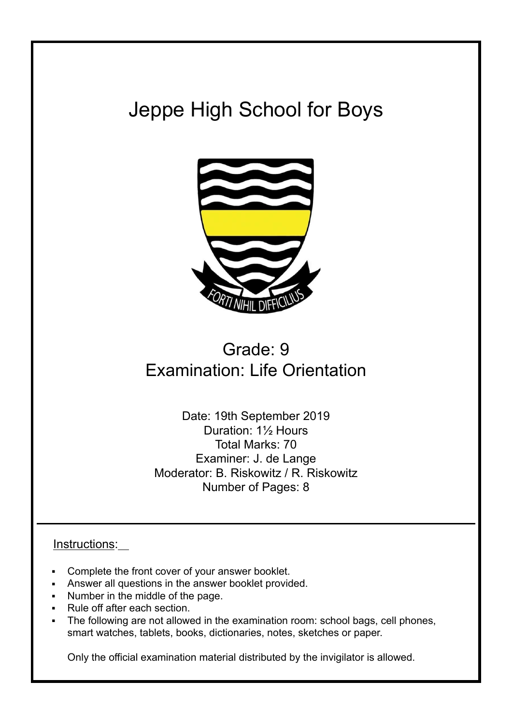# Jeppe High School for Boys



# Grade: 9 Examination: Life Orientation

Date: 19th September 2019 Duration: 1½ Hours Total Marks: 70 Examiner: J. de Lange Moderator: B. Riskowitz / R. Riskowitz Number of Pages: 8

# Instructions:

- Complete the front cover of your answer booklet.
- Answer all questions in the answer booklet provided.
- Number in the middle of the page.
- Rule off after each section.
- The following are not allowed in the examination room: school bags, cell phones, smart watches, tablets, books, dictionaries, notes, sketches or paper.

Only the official examination material distributed by the invigilator is allowed.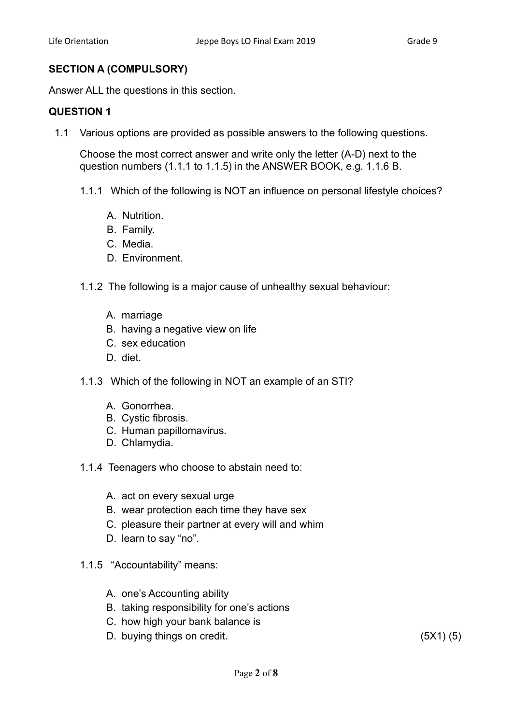# **SECTION A (COMPULSORY)**

Answer ALL the questions in this section.

# **QUESTION 1**

1.1 Various options are provided as possible answers to the following questions.

Choose the most correct answer and write only the letter (A-D) next to the question numbers (1.1.1 to 1.1.5) in the ANSWER BOOK, e.g. 1.1.6 B.

- 1.1.1 Which of the following is NOT an influence on personal lifestyle choices?
	- A. Nutrition.
	- B. Family.
	- C. Media.
	- D. Environment.
- 1.1.2 The following is a major cause of unhealthy sexual behaviour:
	- A. marriage
	- B. having a negative view on life
	- C. sex education
	- D. diet.
- 1.1.3 Which of the following in NOT an example of an STI?
	- A. Gonorrhea.
	- B. Cystic fibrosis.
	- C. Human papillomavirus.
	- D. Chlamydia.
- 1.1.4 Teenagers who choose to abstain need to:
	- A. act on every sexual urge
	- B. wear protection each time they have sex
	- C. pleasure their partner at every will and whim
	- D. learn to say "no".
- 1.1.5 "Accountability" means:
	- A. one's Accounting ability
	- B. taking responsibility for one's actions
	- C. how high your bank balance is
	- D. buying things on credit. (5X1) (5)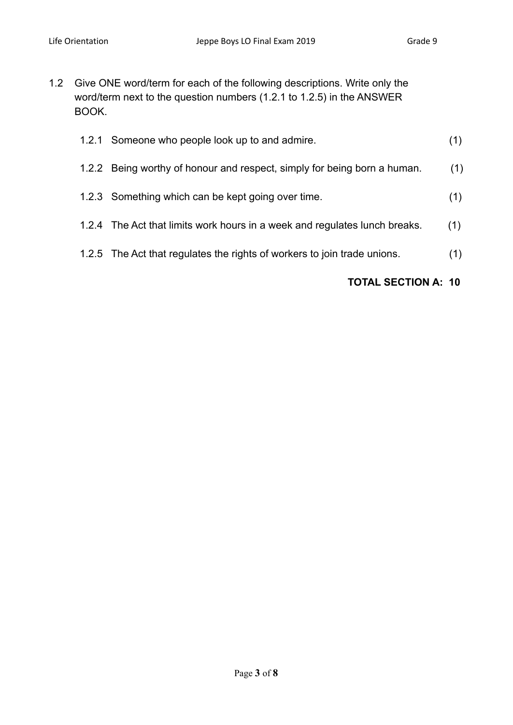1.2 Give ONE word/term for each of the following descriptions. Write only the word/term next to the question numbers (1.2.1 to 1.2.5) in the ANSWER BOOK.

| 1.2.1 | Someone who people look up to and admire.                                  | (1) |
|-------|----------------------------------------------------------------------------|-----|
|       | 1.2.2 Being worthy of honour and respect, simply for being born a human.   | (1) |
|       | 1.2.3 Something which can be kept going over time.                         | (1) |
|       | 1.2.4 The Act that limits work hours in a week and regulates lunch breaks. | (1) |
|       | 1.2.5 The Act that regulates the rights of workers to join trade unions.   | (1) |

# **TOTAL SECTION A: 10**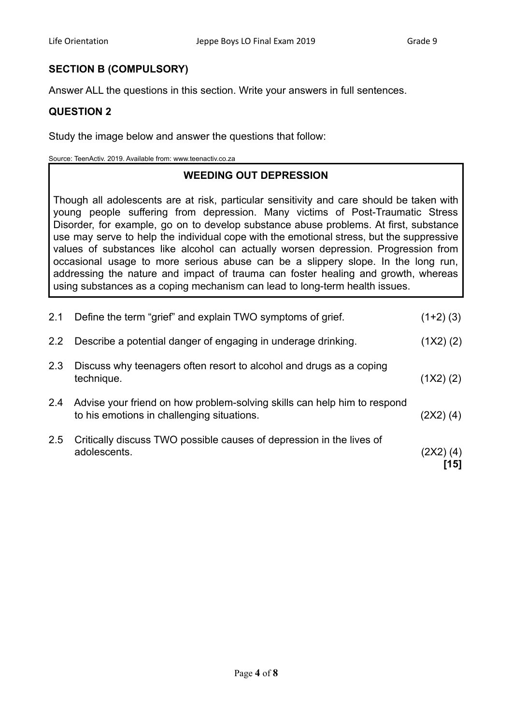# **SECTION B (COMPULSORY)**

Answer ALL the questions in this section. Write your answers in full sentences.

# **QUESTION 2**

Study the image below and answer the questions that follow:

Source: TeenActiv. 2019. Available from: www.teenactiv.co.za

# **WEEDING OUT DEPRESSION**

Though all adolescents are at risk, particular sensitivity and care should be taken with young people suffering from depression. Many victims of Post-Traumatic Stress Disorder, for example, go on to develop substance abuse problems. At first, substance use may serve to help the individual cope with the emotional stress, but the suppressive values of substances like alcohol can actually worsen depression. Progression from occasional usage to more serious abuse can be a slippery slope. In the long run, addressing the nature and impact of trauma can foster healing and growth, whereas using substances as a coping mechanism can lead to long-term health issues.

|     | adolescents.                                                                                                           | (2X2) (4)<br>'151 |
|-----|------------------------------------------------------------------------------------------------------------------------|-------------------|
| 2.5 | Critically discuss TWO possible causes of depression in the lives of                                                   |                   |
| 2.4 | Advise your friend on how problem-solving skills can help him to respond<br>to his emotions in challenging situations. | (2X2) (4)         |
| 2.3 | Discuss why teenagers often resort to alcohol and drugs as a coping<br>technique.                                      | $(1X2)$ (2)       |
| 2.2 | Describe a potential danger of engaging in underage drinking.                                                          | (1X2)(2)          |
| 2.1 | Define the term "grief" and explain TWO symptoms of grief.                                                             | $(1+2)$ (3)       |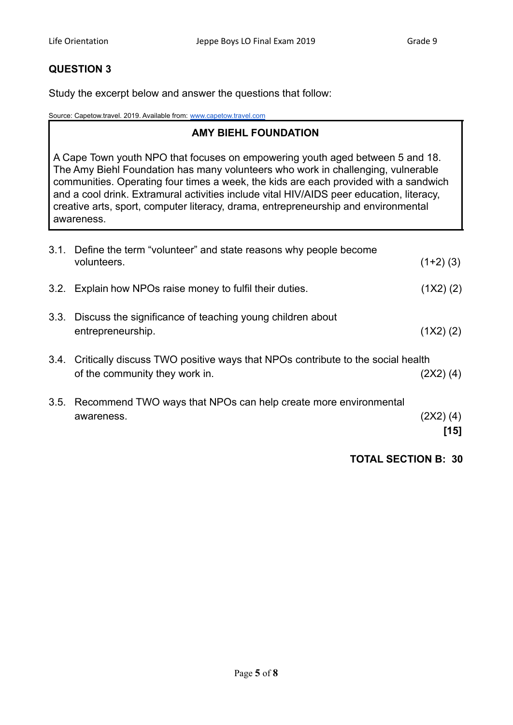# **QUESTION 3**

Study the excerpt below and answer the questions that follow:

Source: Capetow.travel. 2019. Available from: [www.capetow.travel.com](http://www.capetow.travel.com)

# **AMY BIEHL FOUNDATION**

A Cape Town youth NPO that focuses on empowering youth aged between 5 and 18. The Amy Biehl Foundation has many volunteers who work in challenging, vulnerable communities. Operating four times a week, the kids are each provided with a sandwich and a cool drink. Extramural activities include vital HIV/AIDS peer education, literacy, creative arts, sport, computer literacy, drama, entrepreneurship and environmental awareness.

| 3.1. | Define the term "volunteer" and state reasons why people become<br>volunteers.                                   | $(1+2)$ (3)         |
|------|------------------------------------------------------------------------------------------------------------------|---------------------|
| 3.2. | Explain how NPOs raise money to fulfil their duties.                                                             | (1X2)(2)            |
| 3.3. | Discuss the significance of teaching young children about<br>entrepreneurship.                                   | (1X2)(2)            |
| 3.4. | Critically discuss TWO positive ways that NPOs contribute to the social health<br>of the community they work in. | $(2X2)$ (4)         |
| 3.5. | Recommend TWO ways that NPOs can help create more environmental<br>awareness.                                    | $(2X2)$ (4)<br>[15] |

**TOTAL SECTION B: 30**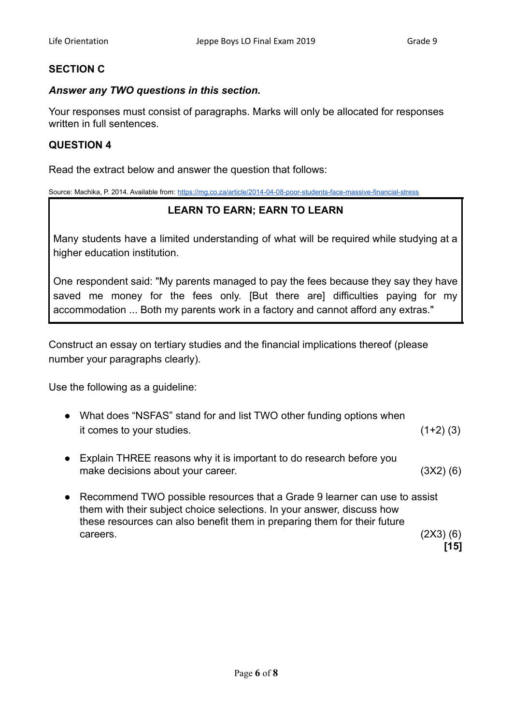# **SECTION C**

#### *Answer any TWO questions in this section.*

Your responses must consist of paragraphs. Marks will only be allocated for responses written in full sentences.

#### **QUESTION 4**

Read the extract below and answer the question that follows:

Source: Machika, P. 2014. Available from: <https://mg.co.za/article/2014-04-08-poor-students-face-massive-financial-stress>

# **LEARN TO EARN; EARN TO LEARN**

Many students have a limited understanding of what will be required while studying at a higher education institution.

One respondent said: "My parents managed to pay the fees because they say they have saved me money for the fees only. [But there are] difficulties paying for my accommodation ... Both my parents work in a factory and cannot afford any extras."

Construct an essay on tertiary studies and the financial implications thereof (please number your paragraphs clearly).

Use the following as a guideline:

- What does "NSFAS" stand for and list TWO other funding options when it comes to your studies. (1+2) (3)
- Explain THREE reasons why it is important to do research before you make decisions about your career. (3X2) (6)
- Recommend TWO possible resources that a Grade 9 learner can use to assist them with their subject choice selections. In your answer, discuss how these resources can also benefit them in preparing them for their future  $careers.$  (2X3) (6)

**[15]**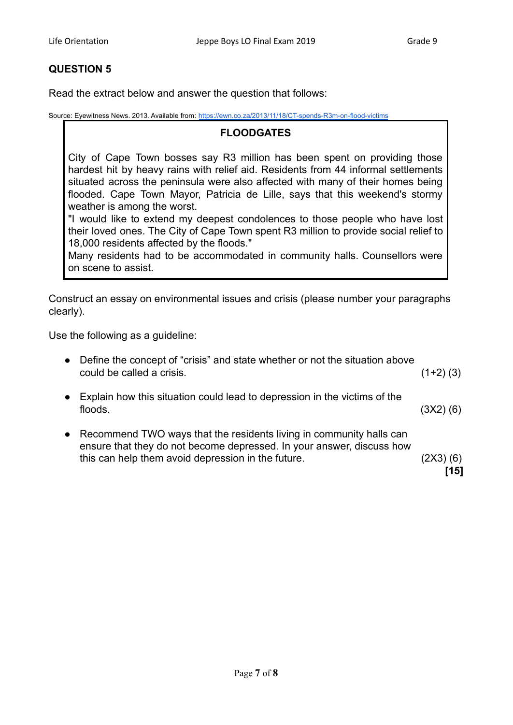# **QUESTION 5**

Read the extract below and answer the question that follows:

Source: Eyewitness News. 2013. Available from: <https://ewn.co.za/2013/11/18/CT-spends-R3m-on-flood-victims>

#### **FLOODGATES**

City of Cape Town bosses say R3 million has been spent on providing those hardest hit by heavy rains with relief aid. Residents from 44 informal settlements situated across the peninsula were also affected with many of their homes being flooded. Cape Town Mayor, Patricia de Lille, says that this weekend's stormy weather is among the worst.

"I would like to extend my deepest condolences to those people who have lost their loved ones. The City of Cape Town spent R3 million to provide social relief to 18,000 residents affected by the floods."

Many residents had to be accommodated in community halls. Counsellors were on scene to assist.

Construct an essay on environmental issues and crisis (please number your paragraphs clearly).

Use the following as a guideline:

| Define the concept of "crisis" and state whether or not the situation above<br>could be called a crisis.                                                                                           | $(1+2)$ (3)      |
|----------------------------------------------------------------------------------------------------------------------------------------------------------------------------------------------------|------------------|
| Explain how this situation could lead to depression in the victims of the<br>floods.                                                                                                               | (3X2) (6)        |
| Recommend TWO ways that the residents living in community halls can<br>ensure that they do not become depressed. In your answer, discuss how<br>this can help them avoid depression in the future. | (2X3) (6)<br>151 |